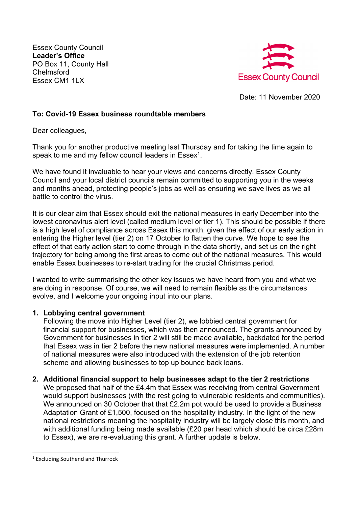Essex County Council **Leader's Office** PO Box 11, County Hall **Chelmsford** Essex CM1 1LX



Date: 11 November 2020

## **To: Covid-19 Essex business roundtable members**

Dear colleagues,

Thank you for another productive meeting last Thursday and for taking the time again to speak to me and my fellow council leaders in  $Essex<sup>1</sup>$ .

We have found it invaluable to hear your views and concerns directly. Essex County Council and your local district councils remain committed to supporting you in the weeks and months ahead, protecting people's jobs as well as ensuring we save lives as we all battle to control the virus.

It is our clear aim that Essex should exit the national measures in early December into the lowest coronavirus alert level (called medium level or tier 1). This should be possible if there is a high level of compliance across Essex this month, given the effect of our early action in entering the Higher level (tier 2) on 17 October to flatten the curve. We hope to see the effect of that early action start to come through in the data shortly, and set us on the right trajectory for being among the first areas to come out of the national measures. This would enable Essex businesses to re-start trading for the crucial Christmas period.

I wanted to write summarising the other key issues we have heard from you and what we are doing in response. Of course, we will need to remain flexible as the circumstances evolve, and I welcome your ongoing input into our plans.

#### **1. Lobbying central government**

Following the move into Higher Level (tier 2), we lobbied central government for financial support for businesses, which was then announced. The grants announced by Government for businesses in tier 2 will still be made available, backdated for the period that Essex was in tier 2 before the new national measures were implemented. A number of national measures were also introduced with the extension of the job retention scheme and allowing businesses to top up bounce back loans.

# **2. Additional financial support to help businesses adapt to the tier 2 restrictions**

We proposed that half of the £4.4m that Essex was receiving from central Government would support businesses (with the rest going to vulnerable residents and communities). We announced on 30 October that that £2.2m pot would be used to provide a Business Adaptation Grant of £1,500, focused on the hospitality industry. In the light of the new national restrictions meaning the hospitality industry will be largely close this month, and with additional funding being made available (£20 per head which should be circa £28m to Essex), we are re-evaluating this grant. A further update is below.

<sup>1</sup> Excluding Southend and Thurrock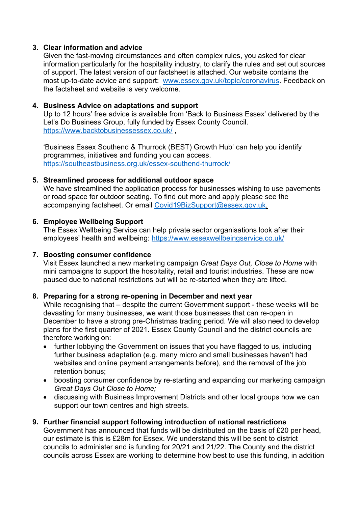## **3. Clear information and advice**

Given the fast-moving circumstances and often complex rules, you asked for clear information particularly for the hospitality industry, to clarify the rules and set out sources of support. The latest version of our factsheet is attached. Our website contains the most up-to-date advice and support: www.essex.gov.uk/topic/coronavirus. Feedback on the factsheet and website is very welcome.

## **4. Business Advice on adaptations and support**

Up to 12 hours' free advice is available from 'Back to Business Essex' delivered by the Let's Do Business Group, fully funded by Essex County Council. https://www.backtobusinessessex.co.uk/ ,

'Business Essex Southend & Thurrock (BEST) Growth Hub' can help you identify programmes, initiatives and funding you can access. https://southeastbusiness.org.uk/essex-southend-thurrock/

## **5. Streamlined process for additional outdoor space**

We have streamlined the application process for businesses wishing to use pavements or road space for outdoor seating. To find out more and apply please see the accompanying factsheet. Or email Covid19BizSupport@essex.gov.uk.

## **6. Employee Wellbeing Support**

The Essex Wellbeing Service can help private sector organisations look after their employees' health and wellbeing: https://www.essexwellbeingservice.co.uk/

#### **7. Boosting consumer confidence**

Visit Essex launched a new marketing campaign *Great Days Out, Close to Home* with mini campaigns to support the hospitality, retail and tourist industries. These are now paused due to national restrictions but will be re-started when they are lifted.

#### **8. Preparing for a strong re-opening in December and next year**

While recognising that – despite the current Government support - these weeks will be devasting for many businesses, we want those businesses that can re-open in December to have a strong pre-Christmas trading period. We will also need to develop plans for the first quarter of 2021. Essex County Council and the district councils are therefore working on:

- further lobbying the Government on issues that you have flagged to us, including further business adaptation (e.g. many micro and small businesses haven't had websites and online payment arrangements before), and the removal of the job retention bonus;
- boosting consumer confidence by re-starting and expanding our marketing campaign *Great Days Out Close to Home;*
- discussing with Business Improvement Districts and other local groups how we can support our town centres and high streets.

# **9. Further financial support following introduction of national restrictions**

Government has announced that funds will be distributed on the basis of £20 per head, our estimate is this is £28m for Essex. We understand this will be sent to district councils to administer and is funding for 20/21 and 21/22. The County and the district councils across Essex are working to determine how best to use this funding, in addition